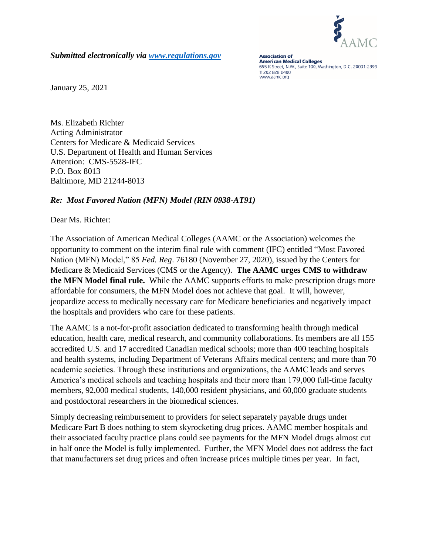

*Submitted electronically via [www.regulations.gov](http://www.regulations.gov/)*

**Association of American Medical Colleges** 655 K Street, N.W., Suite 100, Washington, D.C. 20001-2399 T 202 828 0400 www.aamc.org

January 25, 2021

Ms. Elizabeth Richter Acting Administrator Centers for Medicare & Medicaid Services U.S. Department of Health and Human Services Attention: CMS-5528-IFC P.O. Box 8013 Baltimore, MD 21244-8013

## *Re: Most Favored Nation (MFN) Model (RIN 0938-AT91)*

Dear Ms. Richter:

The Association of American Medical Colleges (AAMC or the Association) welcomes the opportunity to comment on the interim final rule with comment (IFC) entitled "Most Favored Nation (MFN) Model," 85 *Fed. Reg*. 76180 (November 27, 2020), issued by the Centers for Medicare & Medicaid Services (CMS or the Agency). **The AAMC urges CMS to withdraw the MFN Model final rule.** While the AAMC supports efforts to make prescription drugs more affordable for consumers, the MFN Model does not achieve that goal. It will, however, jeopardize access to medically necessary care for Medicare beneficiaries and negatively impact the hospitals and providers who care for these patients.

The AAMC is a not-for-profit association dedicated to transforming health through medical education, health care, medical research, and community collaborations. Its members are all 155 accredited U.S. and 17 accredited Canadian medical schools; more than 400 teaching hospitals and health systems, including Department of Veterans Affairs medical centers; and more than 70 academic societies. Through these institutions and organizations, the AAMC leads and serves America's medical schools and teaching hospitals and their more than 179,000 full-time faculty members, 92,000 medical students, 140,000 resident physicians, and 60,000 graduate students and postdoctoral researchers in the biomedical sciences.

Simply decreasing reimbursement to providers for select separately payable drugs under Medicare Part B does nothing to stem skyrocketing drug prices. AAMC member hospitals and their associated faculty practice plans could see payments for the MFN Model drugs almost cut in half once the Model is fully implemented. Further, the MFN Model does not address the fact that manufacturers set drug prices and often increase prices multiple times per year. In fact,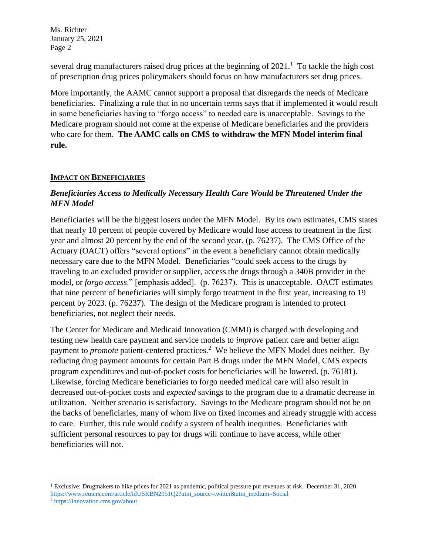several drug manufacturers raised drug prices at the beginning of  $2021$ .<sup>1</sup> To tackle the high cost of prescription drug prices policymakers should focus on how manufacturers set drug prices.

More importantly, the AAMC cannot support a proposal that disregards the needs of Medicare beneficiaries. Finalizing a rule that in no uncertain terms says that if implemented it would result in some beneficiaries having to "forgo access" to needed care is unacceptable. Savings to the Medicare program should not come at the expense of Medicare beneficiaries and the providers who care for them. **The AAMC calls on CMS to withdraw the MFN Model interim final rule.**

### **IMPACT ON BENEFICIARIES**

# *Beneficiaries Access to Medically Necessary Health Care Would be Threatened Under the MFN Model*

Beneficiaries will be the biggest losers under the MFN Model. By its own estimates, CMS states that nearly 10 percent of people covered by Medicare would lose access to treatment in the first year and almost 20 percent by the end of the second year. (p. 76237). The CMS Office of the Actuary (OACT) offers "several options" in the event a beneficiary cannot obtain medically necessary care due to the MFN Model. Beneficiaries "could seek access to the drugs by traveling to an excluded provider or supplier, access the drugs through a 340B provider in the model, or *forgo access*." [emphasis added]. (p. 76237). This is unacceptable. OACT estimates that nine percent of beneficiaries will simply forgo treatment in the first year, increasing to 19 percent by 2023. (p. 76237). The design of the Medicare program is intended to protect beneficiaries, not neglect their needs.

The Center for Medicare and Medicaid Innovation (CMMI) is charged with developing and testing new health care payment and service models to *improve* patient care and better align payment to *promote* patient-centered practices.<sup>2</sup> We believe the MFN Model does neither. By reducing drug payment amounts for certain Part B drugs under the MFN Model, CMS expects program expenditures and out-of-pocket costs for beneficiaries will be lowered. (p. 76181). Likewise, forcing Medicare beneficiaries to forgo needed medical care will also result in decreased out-of-pocket costs and *expected* savings to the program due to a dramatic decrease in utilization. Neither scenario is satisfactory. Savings to the Medicare program should not be on the backs of beneficiaries, many of whom live on fixed incomes and already struggle with access to care. Further, this rule would codify a system of health inequities. Beneficiaries with sufficient personal resources to pay for drugs will continue to have access, while other beneficiaries will not.

 $\overline{\phantom{a}}$ 

<sup>1</sup> Exclusive: Drugmakers to hike prices for 2021 as pandemic, political pressure put revenues at risk. December 31, 2020. [https://www.reuters.com/article/idUSKBN2951Q2?utm\\_source=twitter&utm\\_medium=Social](https://www.reuters.com/article/idUSKBN2951Q2?utm_source=twitter&utm_medium=Social)

<sup>2</sup> <https://innovation.cms.gov/about>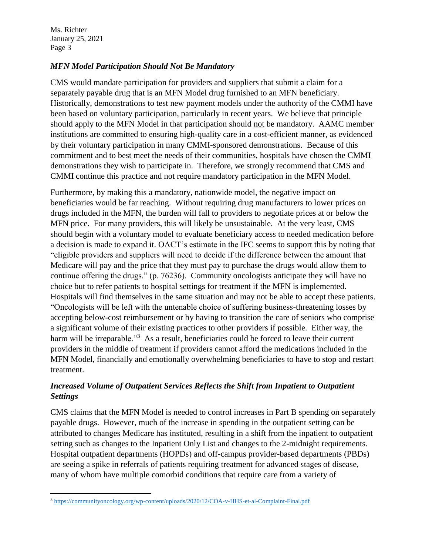## *MFN Model Participation Should Not Be Mandatory*

CMS would mandate participation for providers and suppliers that submit a claim for a separately payable drug that is an MFN Model drug furnished to an MFN beneficiary. Historically, demonstrations to test new payment models under the authority of the CMMI have been based on voluntary participation, particularly in recent years. We believe that principle should apply to the MFN Model in that participation should not be mandatory. AAMC member institutions are committed to ensuring high-quality care in a cost-efficient manner, as evidenced by their voluntary participation in many CMMI-sponsored demonstrations. Because of this commitment and to best meet the needs of their communities, hospitals have chosen the CMMI demonstrations they wish to participate in. Therefore, we strongly recommend that CMS and CMMI continue this practice and not require mandatory participation in the MFN Model.

Furthermore, by making this a mandatory, nationwide model, the negative impact on beneficiaries would be far reaching. Without requiring drug manufacturers to lower prices on drugs included in the MFN, the burden will fall to providers to negotiate prices at or below the MFN price. For many providers, this will likely be unsustainable. At the very least, CMS should begin with a voluntary model to evaluate beneficiary access to needed medication before a decision is made to expand it. OACT's estimate in the IFC seems to support this by noting that "eligible providers and suppliers will need to decide if the difference between the amount that Medicare will pay and the price that they must pay to purchase the drugs would allow them to continue offering the drugs." (p. 76236). Community oncologists anticipate they will have no choice but to refer patients to hospital settings for treatment if the MFN is implemented. Hospitals will find themselves in the same situation and may not be able to accept these patients. "Oncologists will be left with the untenable choice of suffering business-threatening losses by accepting below-cost reimbursement or by having to transition the care of seniors who comprise a significant volume of their existing practices to other providers if possible. Either way, the harm will be irreparable."<sup>3</sup> As a result, beneficiaries could be forced to leave their current providers in the middle of treatment if providers cannot afford the medications included in the MFN Model, financially and emotionally overwhelming beneficiaries to have to stop and restart treatment.

# *Increased Volume of Outpatient Services Reflects the Shift from Inpatient to Outpatient Settings*

CMS claims that the MFN Model is needed to control increases in Part B spending on separately payable drugs. However, much of the increase in spending in the outpatient setting can be attributed to changes Medicare has instituted, resulting in a shift from the inpatient to outpatient setting such as changes to the Inpatient Only List and changes to the 2-midnight requirements. Hospital outpatient departments (HOPDs) and off-campus provider-based departments (PBDs) are seeing a spike in referrals of patients requiring treatment for advanced stages of disease, many of whom have multiple comorbid conditions that require care from a variety of

 $\overline{a}$ <sup>3</sup> <https://communityoncology.org/wp-content/uploads/2020/12/COA-v-HHS-et-al-Complaint-Final.pdf>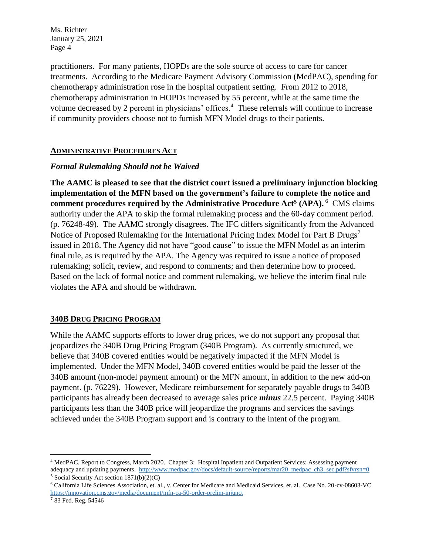practitioners. For many patients, HOPDs are the sole source of access to care for cancer treatments. According to the Medicare Payment Advisory Commission (MedPAC), spending for chemotherapy administration rose in the hospital outpatient setting. From 2012 to 2018, chemotherapy administration in HOPDs increased by 55 percent, while at the same time the volume decreased by 2 percent in physicians' offices.<sup>4</sup> These referrals will continue to increase if community providers choose not to furnish MFN Model drugs to their patients.

#### **ADMINISTRATIVE PROCEDURES ACT**

### *Formal Rulemaking Should not be Waived*

**The AAMC is pleased to see that the district court issued a preliminary injunction blocking implementation of the MFN based on the government's failure to complete the notice and comment procedures required by the Administrative Procedure Act<sup>5</sup> (APA).** 6 CMS claims authority under the APA to skip the formal rulemaking process and the 60-day comment period. (p. 76248-49). The AAMC strongly disagrees. The IFC differs significantly from the Advanced Notice of Proposed Rulemaking for the International Pricing Index Model for Part B Drugs<sup>7</sup> issued in 2018. The Agency did not have "good cause" to issue the MFN Model as an interim final rule, as is required by the APA. The Agency was required to issue a notice of proposed rulemaking; solicit, review, and respond to comments; and then determine how to proceed. Based on the lack of formal notice and comment rulemaking, we believe the interim final rule violates the APA and should be withdrawn.

#### **340B DRUG PRICING PROGRAM**

While the AAMC supports efforts to lower drug prices, we do not support any proposal that jeopardizes the 340B Drug Pricing Program (340B Program). As currently structured, we believe that 340B covered entities would be negatively impacted if the MFN Model is implemented. Under the MFN Model, 340B covered entities would be paid the lesser of the 340B amount (non-model payment amount) or the MFN amount, in addition to the new add-on payment. (p. 76229). However, Medicare reimbursement for separately payable drugs to 340B participants has already been decreased to average sales price *minus* 22.5 percent. Paying 340B participants less than the 340B price will jeopardize the programs and services the savings achieved under the 340B Program support and is contrary to the intent of the program.

l

<sup>4</sup> MedPAC. Report to Congress, March 2020. Chapter 3: Hospital Inpatient and Outpatient Services: Assessing payment adequacy and updating payments. [http://www.medpac.gov/docs/default-source/reports/mar20\\_medpac\\_ch3\\_sec.pdf?sfvrsn=0](http://www.medpac.gov/docs/default-source/reports/mar20_medpac_ch3_sec.pdf?sfvrsn=0)

<sup>5</sup> Social Security Act section 1871(b)(2)(C)

<sup>6</sup> California Life Sciences Association, et. al., v. Center for Medicare and Medicaid Services, et. al. Case No. 20-cv-08603-VC <https://innovation.cms.gov/media/document/mfn-ca-50-order-prelim-injunct>

<sup>&</sup>lt;sup>7</sup> 83 Fed. Reg. 54546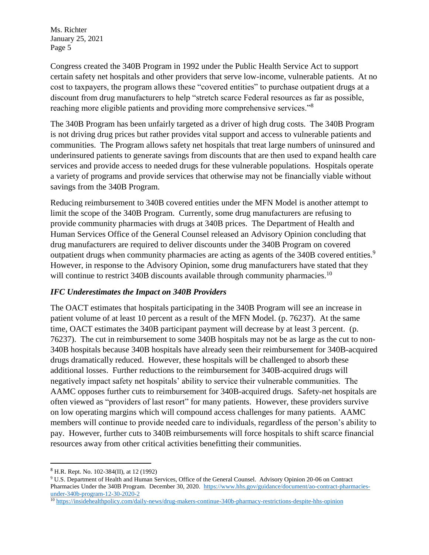Congress created the 340B Program in 1992 under the Public Health Service Act to support certain safety net hospitals and other providers that serve low-income, vulnerable patients. At no cost to taxpayers, the program allows these "covered entities" to purchase outpatient drugs at a discount from drug manufacturers to help "stretch scarce Federal resources as far as possible, reaching more eligible patients and providing more comprehensive services."<sup>8</sup>

The 340B Program has been unfairly targeted as a driver of high drug costs. The 340B Program is not driving drug prices but rather provides vital support and access to vulnerable patients and communities. The Program allows safety net hospitals that treat large numbers of uninsured and underinsured patients to generate savings from discounts that are then used to expand health care services and provide access to needed drugs for these vulnerable populations. Hospitals operate a variety of programs and provide services that otherwise may not be financially viable without savings from the 340B Program.

Reducing reimbursement to 340B covered entities under the MFN Model is another attempt to limit the scope of the 340B Program. Currently, some drug manufacturers are refusing to provide community pharmacies with drugs at 340B prices. The Department of Health and Human Services Office of the General Counsel released an Advisory Opinion concluding that drug manufacturers are required to deliver discounts under the 340B Program on covered outpatient drugs when community pharmacies are acting as agents of the 340B covered entities.<sup>9</sup> However, in response to the Advisory Opinion, some drug manufacturers have stated that they will continue to restrict 340B discounts available through community pharmacies.<sup>10</sup>

## *IFC Underestimates the Impact on 340B Providers*

The OACT estimates that hospitals participating in the 340B Program will see an increase in patient volume of at least 10 percent as a result of the MFN Model. (p. 76237). At the same time, OACT estimates the 340B participant payment will decrease by at least 3 percent. (p. 76237). The cut in reimbursement to some 340B hospitals may not be as large as the cut to non-340B hospitals because 340B hospitals have already seen their reimbursement for 340B-acquired drugs dramatically reduced. However, these hospitals will be challenged to absorb these additional losses. Further reductions to the reimbursement for 340B-acquired drugs will negatively impact safety net hospitals' ability to service their vulnerable communities. The AAMC opposes further cuts to reimbursement for 340B-acquired drugs. Safety-net hospitals are often viewed as "providers of last resort" for many patients. However, these providers survive on low operating margins which will compound access challenges for many patients. AAMC members will continue to provide needed care to individuals, regardless of the person's ability to pay. However, further cuts to 340B reimbursements will force hospitals to shift scarce financial resources away from other critical activities benefitting their communities.

 $\overline{\phantom{a}}$ 

<sup>8</sup> H.R. Rept. No. 102-384(II), at 12 (1992)

<sup>9</sup> U.S. Department of Health and Human Services, Office of the General Counsel. Advisory Opinion 20-06 on Contract Pharmacies Under the 340B Program. December 30, 2020. [https://www.hhs.gov/guidance/document/ao-contract-pharmacies](https://www.hhs.gov/guidance/document/ao-contract-pharmacies-under-340b-program-12-30-2020-2)[under-340b-program-12-30-2020-2](https://www.hhs.gov/guidance/document/ao-contract-pharmacies-under-340b-program-12-30-2020-2)

<sup>10</sup> <https://insidehealthpolicy.com/daily-news/drug-makers-continue-340b-pharmacy-restrictions-despite-hhs-opinion>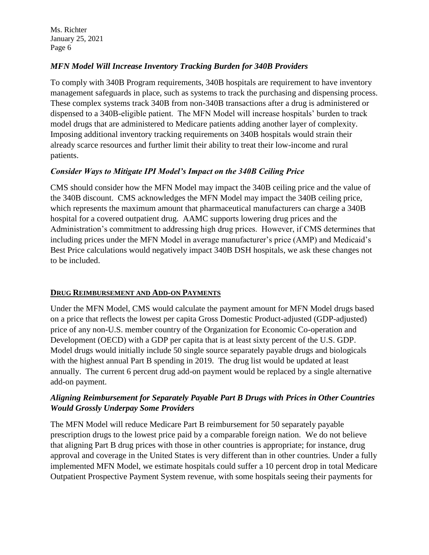# *MFN Model Will Increase Inventory Tracking Burden for 340B Providers*

To comply with 340B Program requirements, 340B hospitals are requirement to have inventory management safeguards in place, such as systems to track the purchasing and dispensing process. These complex systems track 340B from non-340B transactions after a drug is administered or dispensed to a 340B-eligible patient. The MFN Model will increase hospitals' burden to track model drugs that are administered to Medicare patients adding another layer of complexity. Imposing additional inventory tracking requirements on 340B hospitals would strain their already scarce resources and further limit their ability to treat their low-income and rural patients.

# *Consider Ways to Mitigate IPI Model's Impact on the 340B Ceiling Price*

CMS should consider how the MFN Model may impact the 340B ceiling price and the value of the 340B discount. CMS acknowledges the MFN Model may impact the 340B ceiling price, which represents the maximum amount that pharmaceutical manufacturers can charge a 340B hospital for a covered outpatient drug. AAMC supports lowering drug prices and the Administration's commitment to addressing high drug prices. However, if CMS determines that including prices under the MFN Model in average manufacturer's price (AMP) and Medicaid's Best Price calculations would negatively impact 340B DSH hospitals, we ask these changes not to be included.

## **DRUG REIMBURSEMENT AND ADD-ON PAYMENTS**

Under the MFN Model, CMS would calculate the payment amount for MFN Model drugs based on a price that reflects the lowest per capita Gross Domestic Product-adjusted (GDP-adjusted) price of any non-U.S. member country of the Organization for Economic Co-operation and Development (OECD) with a GDP per capita that is at least sixty percent of the U.S. GDP. Model drugs would initially include 50 single source separately payable drugs and biologicals with the highest annual Part B spending in 2019. The drug list would be updated at least annually. The current 6 percent drug add-on payment would be replaced by a single alternative add-on payment.

# *Aligning Reimbursement for Separately Payable Part B Drugs with Prices in Other Countries Would Grossly Underpay Some Providers*

The MFN Model will reduce Medicare Part B reimbursement for 50 separately payable prescription drugs to the lowest price paid by a comparable foreign nation. We do not believe that aligning Part B drug prices with those in other countries is appropriate; for instance, drug approval and coverage in the United States is very different than in other countries. Under a fully implemented MFN Model, we estimate hospitals could suffer a 10 percent drop in total Medicare Outpatient Prospective Payment System revenue, with some hospitals seeing their payments for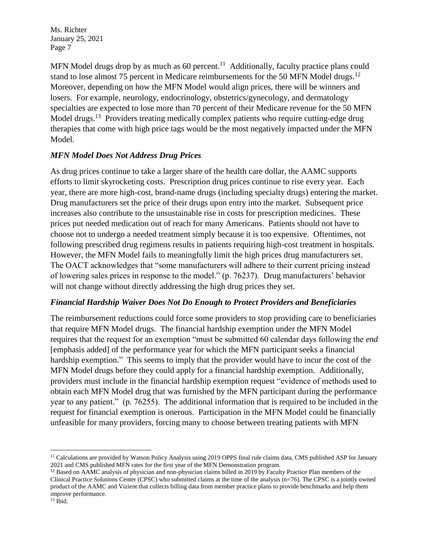MFN Model drugs drop by as much as 60 percent.<sup>11</sup> Additionally, faculty practice plans could stand to lose almost 75 percent in Medicare reimbursements for the 50 MFN Model drugs.<sup>12</sup> Moreover, depending on how the MFN Model would align prices, there will be winners and losers. For example, neurology, endocrinology, obstetrics/gynecology, and dermatology specialties are expected to lose more than 70 percent of their Medicare revenue for the 50 MFN Model drugs.<sup>13</sup> Providers treating medically complex patients who require cutting-edge drug therapies that come with high price tags would be the most negatively impacted under the MFN Model.

### *MFN Model Does Not Address Drug Prices*

As drug prices continue to take a larger share of the health care dollar, the AAMC supports efforts to limit skyrocketing costs. Prescription drug prices continue to rise every year. Each year, there are more high-cost, brand-name drugs (including specialty drugs) entering the market. Drug manufacturers set the price of their drugs upon entry into the market. Subsequent price increases also contribute to the unsustainable rise in costs for prescription medicines. These prices put needed medication out of reach for many Americans. Patients should not have to choose not to undergo a needed treatment simply because it is too expensive. Oftentimes, not following prescribed drug regimens results in patients requiring high-cost treatment in hospitals. However, the MFN Model fails to meaningfully limit the high prices drug manufacturers set. The OACT acknowledges that "some manufacturers will adhere to their current pricing instead of lowering sales prices in response to the model." (p. 76237). Drug manufacturers' behavior will not change without directly addressing the high drug prices they set.

#### *Financial Hardship Waiver Does Not Do Enough to Protect Providers and Beneficiaries*

The reimbursement reductions could force some providers to stop providing care to beneficiaries that require MFN Model drugs. The financial hardship exemption under the MFN Model requires that the request for an exemption "must be submitted 60 calendar days following the *end* [emphasis added] of the performance year for which the MFN participant seeks a financial hardship exemption." This seems to imply that the provider would have to incur the cost of the MFN Model drugs before they could apply for a financial hardship exemption. Additionally, providers must include in the financial hardship exemption request "evidence of methods used to obtain each MFN Model drug that was furnished by the MFN participant during the performance year to any patient." (p. 76255). The additional information that is required to be included in the request for financial exemption is onerous. Participation in the MFN Model could be financially unfeasible for many providers, forcing many to choose between treating patients with MFN

l

<sup>&</sup>lt;sup>11</sup> Calculations are provided by Watson Policy Analysis using 2019 OPPS final rule claims data, CMS published ASP for January 2021 and CMS published MFN rates for the first year of the MFN Demonstration program.

<sup>&</sup>lt;sup>12</sup> Based on AAMC analysis of physician and non-physician claims billed in 2019 by Faculty Practice Plan members of the Clinical Practice Solutions Center (CPSC) who submitted claims at the time of the analysis  $(n=76)$ . The CPSC is a jointly owned product of the AAMC and Vizient that collects billing data from member practice plans to provide benchmarks and help them improve performance.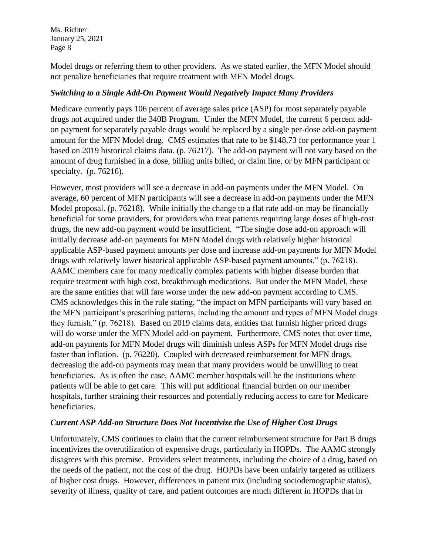Model drugs or referring them to other providers. As we stated earlier, the MFN Model should not penalize beneficiaries that require treatment with MFN Model drugs.

## *Switching to a Single Add-On Payment Would Negatively Impact Many Providers*

Medicare currently pays 106 percent of average sales price (ASP) for most separately payable drugs not acquired under the 340B Program. Under the MFN Model, the current 6 percent addon payment for separately payable drugs would be replaced by a single per-dose add-on payment amount for the MFN Model drug. CMS estimates that rate to be \$148.73 for performance year 1 based on 2019 historical claims data. (p. 76217). The add-on payment will not vary based on the amount of drug furnished in a dose, billing units billed, or claim line, or by MFN participant or specialty. (p. 76216).

However, most providers will see a decrease in add-on payments under the MFN Model. On average, 60 percent of MFN participants will see a decrease in add-on payments under the MFN Model proposal. (p. 76218). While initially the change to a flat rate add-on may be financially beneficial for some providers, for providers who treat patients requiring large doses of high-cost drugs, the new add-on payment would be insufficient. "The single dose add-on approach will initially decrease add-on payments for MFN Model drugs with relatively higher historical applicable ASP-based payment amounts per dose and increase add-on payments for MFN Model drugs with relatively lower historical applicable ASP-based payment amounts." (p. 76218). AAMC members care for many medically complex patients with higher disease burden that require treatment with high cost, breakthrough medications. But under the MFN Model, these are the same entities that will fare worse under the new add-on payment according to CMS. CMS acknowledges this in the rule stating, "the impact on MFN participants will vary based on the MFN participant's prescribing patterns, including the amount and types of MFN Model drugs they furnish." (p. 76218). Based on 2019 claims data, entities that furnish higher priced drugs will do worse under the MFN Model add-on payment. Furthermore, CMS notes that over time, add-on payments for MFN Model drugs will diminish unless ASPs for MFN Model drugs rise faster than inflation. (p. 76220). Coupled with decreased reimbursement for MFN drugs, decreasing the add-on payments may mean that many providers would be unwilling to treat beneficiaries. As is often the case, AAMC member hospitals will be the institutions where patients will be able to get care. This will put additional financial burden on our member hospitals, further straining their resources and potentially reducing access to care for Medicare beneficiaries.

## *Current ASP Add-on Structure Does Not Incentivize the Use of Higher Cost Drugs*

Unfortunately, CMS continues to claim that the current reimbursement structure for Part B drugs incentivizes the overutilization of expensive drugs, particularly in HOPDs. The AAMC strongly disagrees with this premise. Providers select treatments, including the choice of a drug, based on the needs of the patient, not the cost of the drug. HOPDs have been unfairly targeted as utilizers of higher cost drugs. However, differences in patient mix (including sociodemographic status), severity of illness, quality of care, and patient outcomes are much different in HOPDs that in